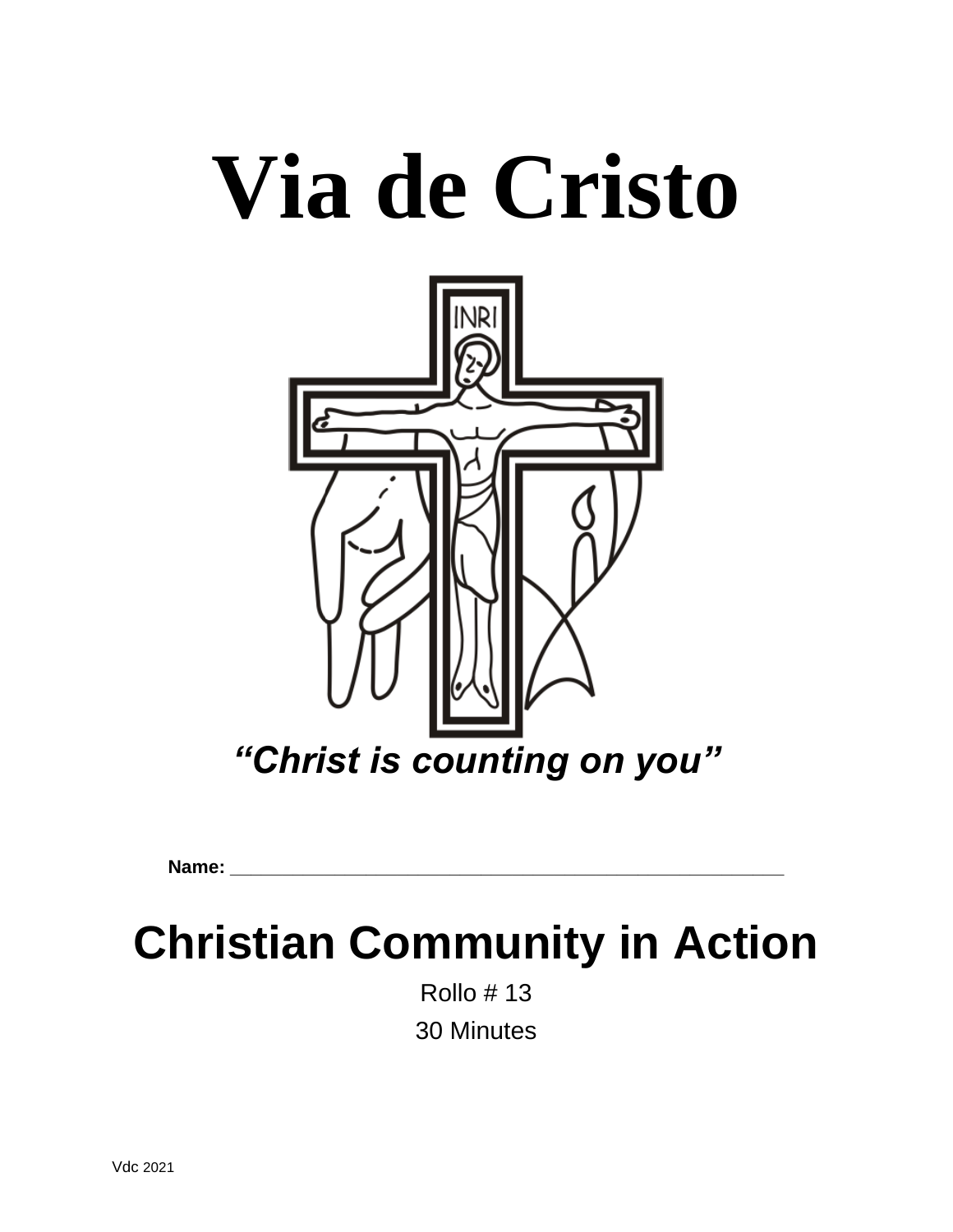# **Via de Cristo**



**Name: \_\_\_\_\_\_\_\_\_\_\_\_\_\_\_\_\_\_\_\_\_\_\_\_\_\_\_\_\_\_\_\_\_\_\_\_\_\_\_\_\_\_\_\_\_\_\_\_\_\_\_\_\_**

# **Christian Community in Action**

Rollo # 13 30 Minutes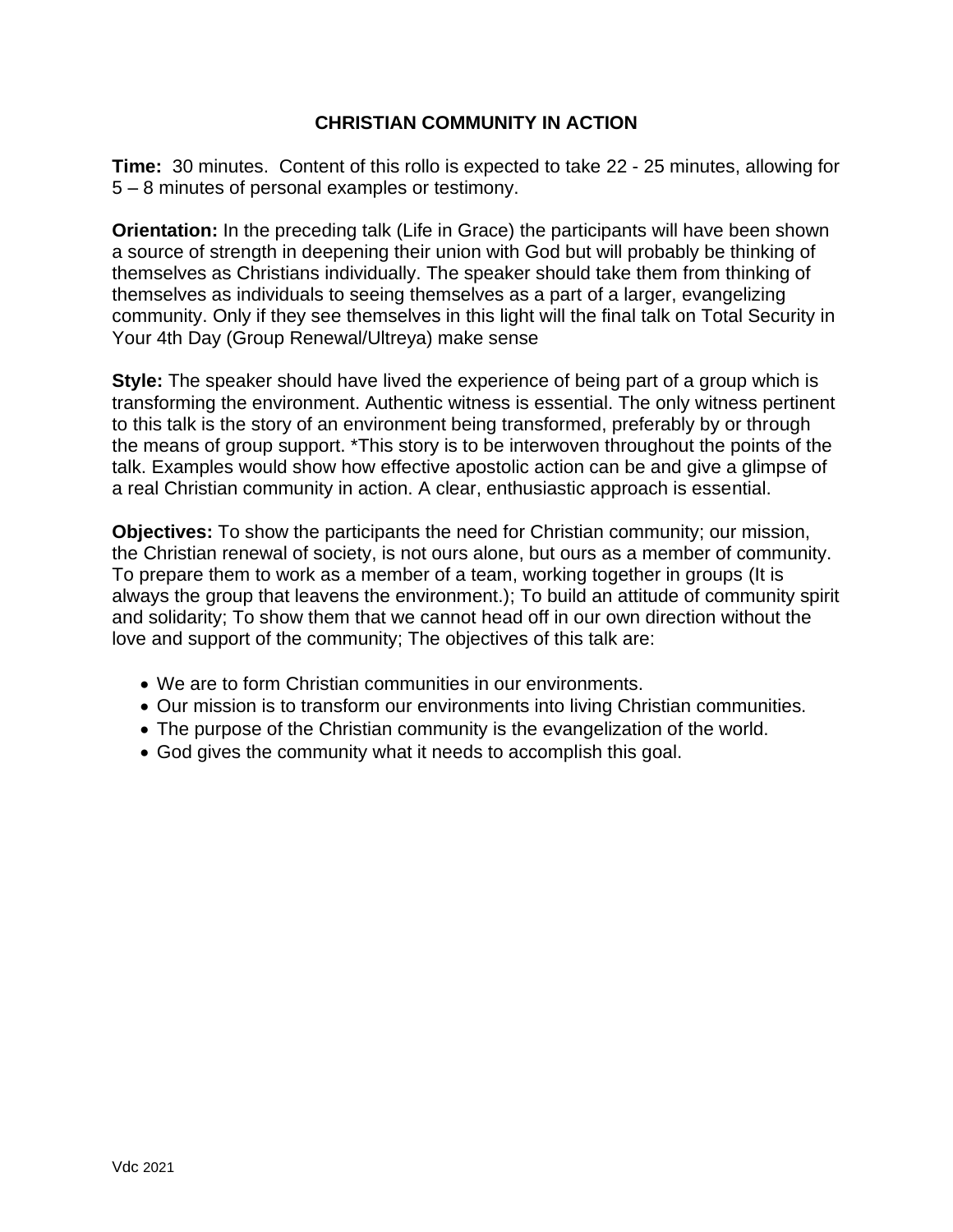#### **CHRISTIAN COMMUNITY IN ACTION**

**Time:** 30 minutes. Content of this rollo is expected to take 22 - 25 minutes, allowing for 5 – 8 minutes of personal examples or testimony.

**Orientation:** In the preceding talk (Life in Grace) the participants will have been shown a source of strength in deepening their union with God but will probably be thinking of themselves as Christians individually. The speaker should take them from thinking of themselves as individuals to seeing themselves as a part of a larger, evangelizing community. Only if they see themselves in this light will the final talk on Total Security in Your 4th Day (Group Renewal/Ultreya) make sense

**Style:** The speaker should have lived the experience of being part of a group which is transforming the environment. Authentic witness is essential. The only witness pertinent to this talk is the story of an environment being transformed, preferably by or through the means of group support. \*This story is to be interwoven throughout the points of the talk. Examples would show how effective apostolic action can be and give a glimpse of a real Christian community in action. A clear, enthusiastic approach is essential.

**Objectives:** To show the participants the need for Christian community; our mission, the Christian renewal of society, is not ours alone, but ours as a member of community. To prepare them to work as a member of a team, working together in groups (It is always the group that leavens the environment.); To build an attitude of community spirit and solidarity; To show them that we cannot head off in our own direction without the love and support of the community; The objectives of this talk are:

- We are to form Christian communities in our environments.
- Our mission is to transform our environments into living Christian communities.
- The purpose of the Christian community is the evangelization of the world.
- God gives the community what it needs to accomplish this goal.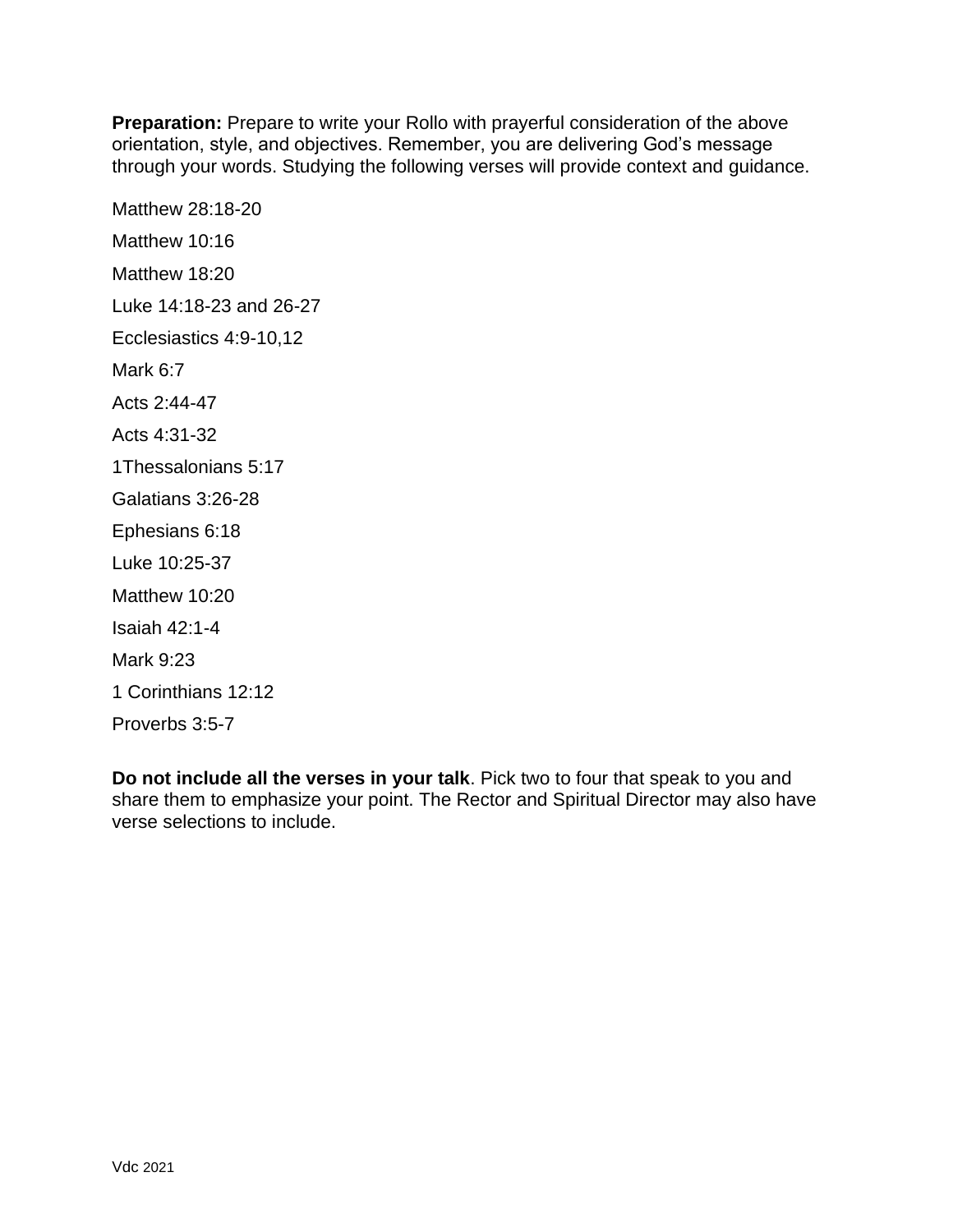**Preparation:** Prepare to write your Rollo with prayerful consideration of the above orientation, style, and objectives. Remember, you are delivering God's message through your words. Studying the following verses will provide context and guidance.

Matthew 28:18-20 Matthew 10:16 Matthew 18:20 Luke 14:18-23 and 26-27 Ecclesiastics 4:9-10,12 Mark 6:7 Acts 2:44-47 Acts 4:31-32 1Thessalonians 5:17 Galatians 3:26-28 Ephesians 6:18 Luke 10:25-37 Matthew 10:20 Isaiah 42:1-4 Mark 9:23 1 Corinthians 12:12 Proverbs 3:5-7

**Do not include all the verses in your talk**. Pick two to four that speak to you and share them to emphasize your point. The Rector and Spiritual Director may also have verse selections to include.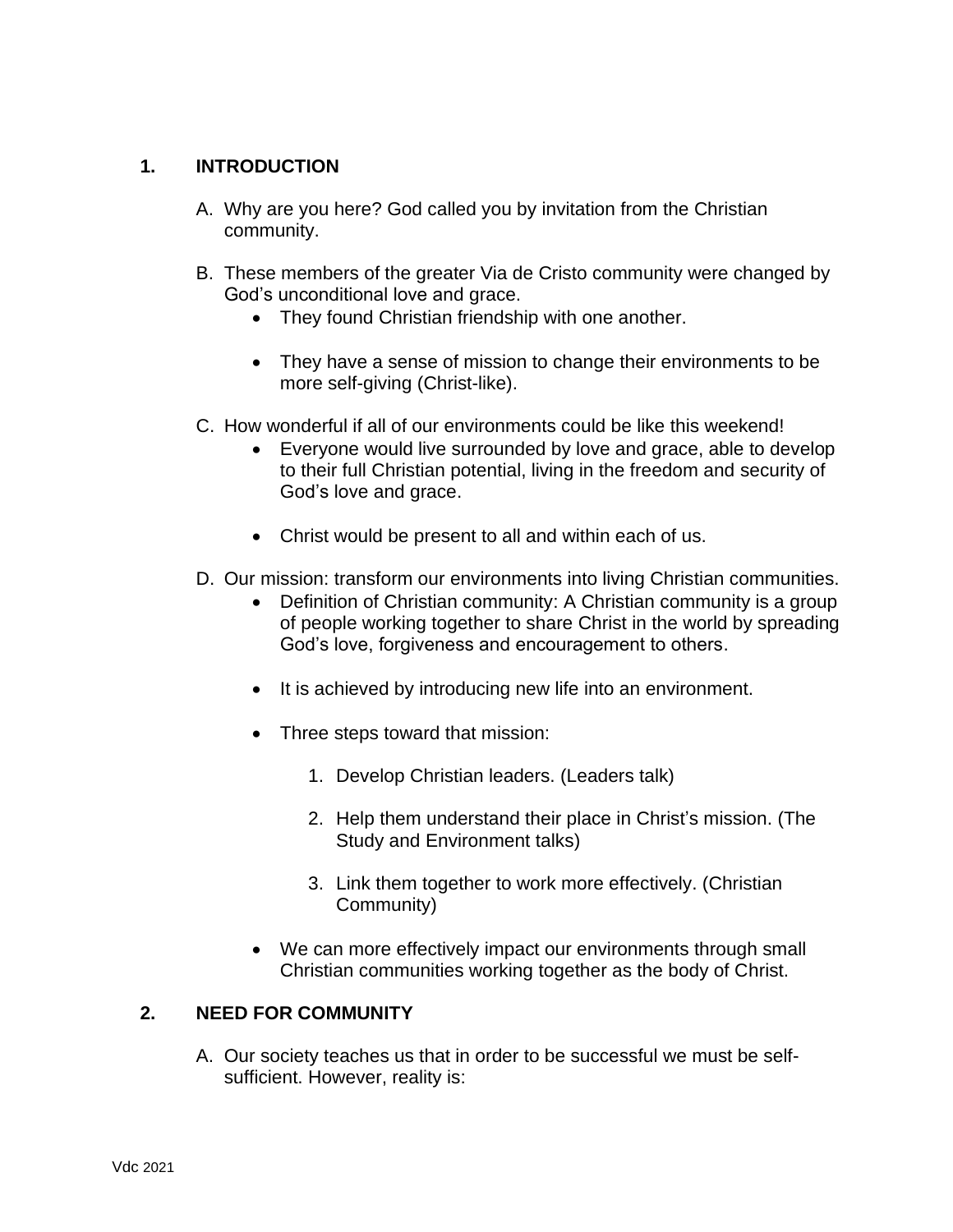#### **1. INTRODUCTION**

- A. Why are you here? God called you by invitation from the Christian community.
- B. These members of the greater Via de Cristo community were changed by God's unconditional love and grace.
	- They found Christian friendship with one another.
	- They have a sense of mission to change their environments to be more self-giving (Christ-like).
- C. How wonderful if all of our environments could be like this weekend!
	- Everyone would live surrounded by love and grace, able to develop to their full Christian potential, living in the freedom and security of God's love and grace.
	- Christ would be present to all and within each of us.
- D. Our mission: transform our environments into living Christian communities.
	- Definition of Christian community: A Christian community is a group of people working together to share Christ in the world by spreading God's love, forgiveness and encouragement to others.
	- It is achieved by introducing new life into an environment.
	- Three steps toward that mission:
		- 1. Develop Christian leaders. (Leaders talk)
		- 2. Help them understand their place in Christ's mission. (The Study and Environment talks)
		- 3. Link them together to work more effectively. (Christian Community)
	- We can more effectively impact our environments through small Christian communities working together as the body of Christ.

# **2. NEED FOR COMMUNITY**

A. Our society teaches us that in order to be successful we must be selfsufficient. However, reality is: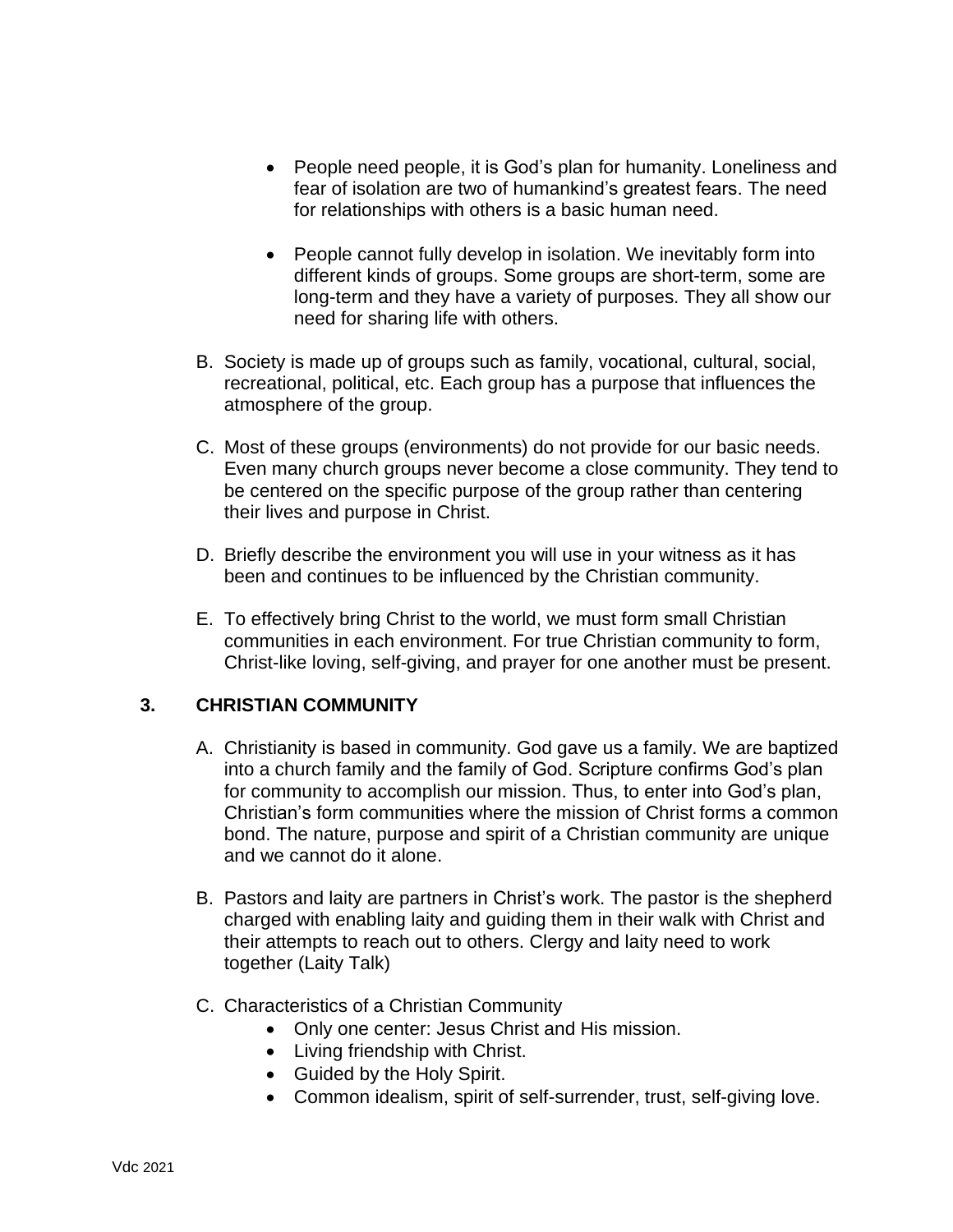- People need people, it is God's plan for humanity. Loneliness and fear of isolation are two of humankind's greatest fears. The need for relationships with others is a basic human need.
- People cannot fully develop in isolation. We inevitably form into different kinds of groups. Some groups are short-term, some are long-term and they have a variety of purposes. They all show our need for sharing life with others.
- B. Society is made up of groups such as family, vocational, cultural, social, recreational, political, etc. Each group has a purpose that influences the atmosphere of the group.
- C. Most of these groups (environments) do not provide for our basic needs. Even many church groups never become a close community. They tend to be centered on the specific purpose of the group rather than centering their lives and purpose in Christ.
- D. Briefly describe the environment you will use in your witness as it has been and continues to be influenced by the Christian community.
- E. To effectively bring Christ to the world, we must form small Christian communities in each environment. For true Christian community to form, Christ-like loving, self-giving, and prayer for one another must be present.

# **3. CHRISTIAN COMMUNITY**

- A. Christianity is based in community. God gave us a family. We are baptized into a church family and the family of God. Scripture confirms God's plan for community to accomplish our mission. Thus, to enter into God's plan, Christian's form communities where the mission of Christ forms a common bond. The nature, purpose and spirit of a Christian community are unique and we cannot do it alone.
- B. Pastors and laity are partners in Christ's work. The pastor is the shepherd charged with enabling laity and guiding them in their walk with Christ and their attempts to reach out to others. Clergy and laity need to work together (Laity Talk)
- C. Characteristics of a Christian Community
	- Only one center: Jesus Christ and His mission.
	- Living friendship with Christ.
	- Guided by the Holy Spirit.
	- Common idealism, spirit of self-surrender, trust, self-giving love.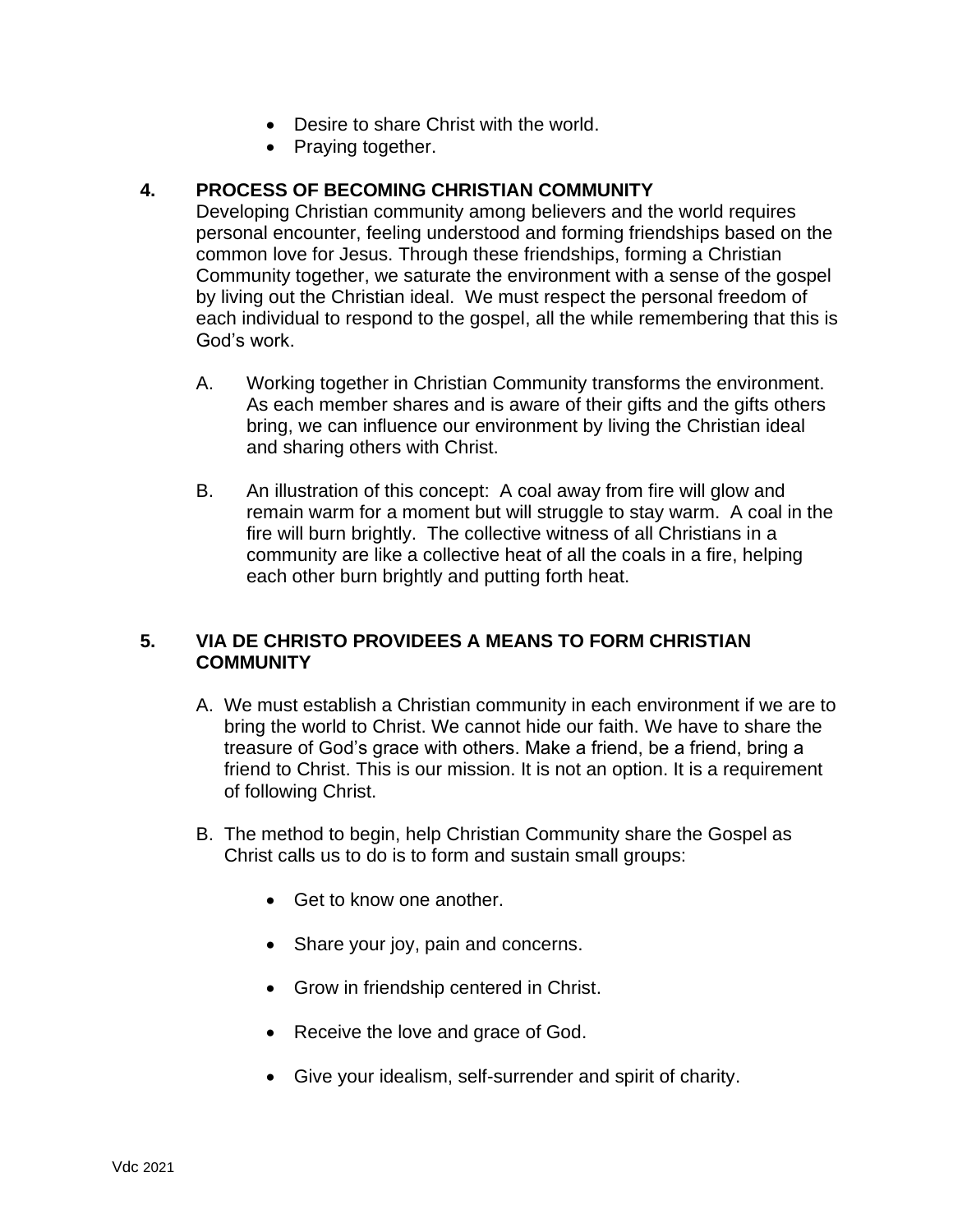- Desire to share Christ with the world.
- Praying together.

#### **4. PROCESS OF BECOMING CHRISTIAN COMMUNITY**

Developing Christian community among believers and the world requires personal encounter, feeling understood and forming friendships based on the common love for Jesus. Through these friendships, forming a Christian Community together, we saturate the environment with a sense of the gospel by living out the Christian ideal.We must respect the personal freedom of each individual to respond to the gospel, all the while remembering that this is God's work.

- A. Working together in Christian Community transforms the environment. As each member shares and is aware of their gifts and the gifts others bring, we can influence our environment by living the Christian ideal and sharing others with Christ.
- B. An illustration of this concept: A coal away from fire will glow and remain warm for a moment but will struggle to stay warm. A coal in the fire will burn brightly. The collective witness of all Christians in a community are like a collective heat of all the coals in a fire, helping each other burn brightly and putting forth heat.

## **5. VIA DE CHRISTO PROVIDEES A MEANS TO FORM CHRISTIAN COMMUNITY**

- A. We must establish a Christian community in each environment if we are to bring the world to Christ. We cannot hide our faith. We have to share the treasure of God's grace with others. Make a friend, be a friend, bring a friend to Christ. This is our mission. It is not an option. It is a requirement of following Christ.
- B. The method to begin, help Christian Community share the Gospel as Christ calls us to do is to form and sustain small groups:
	- Get to know one another.
	- Share your joy, pain and concerns.
	- Grow in friendship centered in Christ.
	- Receive the love and grace of God.
	- Give your idealism, self-surrender and spirit of charity.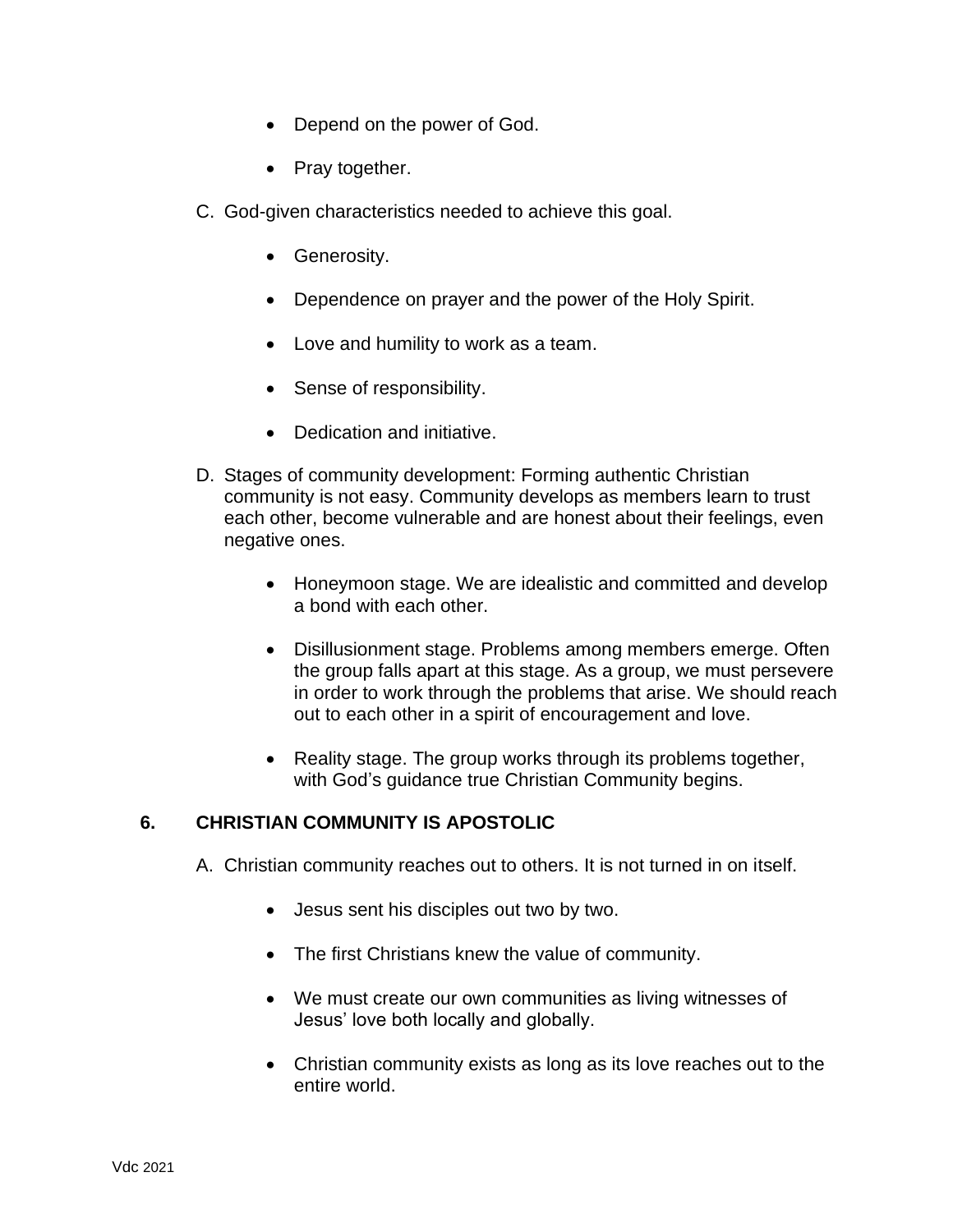- Depend on the power of God.
- Pray together.
- C. God-given characteristics needed to achieve this goal.
	- Generosity.
	- Dependence on prayer and the power of the Holy Spirit.
	- Love and humility to work as a team.
	- Sense of responsibility.
	- Dedication and initiative.
- D. Stages of community development: Forming authentic Christian community is not easy. Community develops as members learn to trust each other, become vulnerable and are honest about their feelings, even negative ones.
	- Honeymoon stage. We are idealistic and committed and develop a bond with each other.
	- Disillusionment stage. Problems among members emerge. Often the group falls apart at this stage. As a group, we must persevere in order to work through the problems that arise. We should reach out to each other in a spirit of encouragement and love.
	- Reality stage. The group works through its problems together, with God's guidance true Christian Community begins.

#### **6. CHRISTIAN COMMUNITY IS APOSTOLIC**

- A. Christian community reaches out to others. It is not turned in on itself.
	- Jesus sent his disciples out two by two.
	- The first Christians knew the value of community.
	- We must create our own communities as living witnesses of Jesus' love both locally and globally.
	- Christian community exists as long as its love reaches out to the entire world.